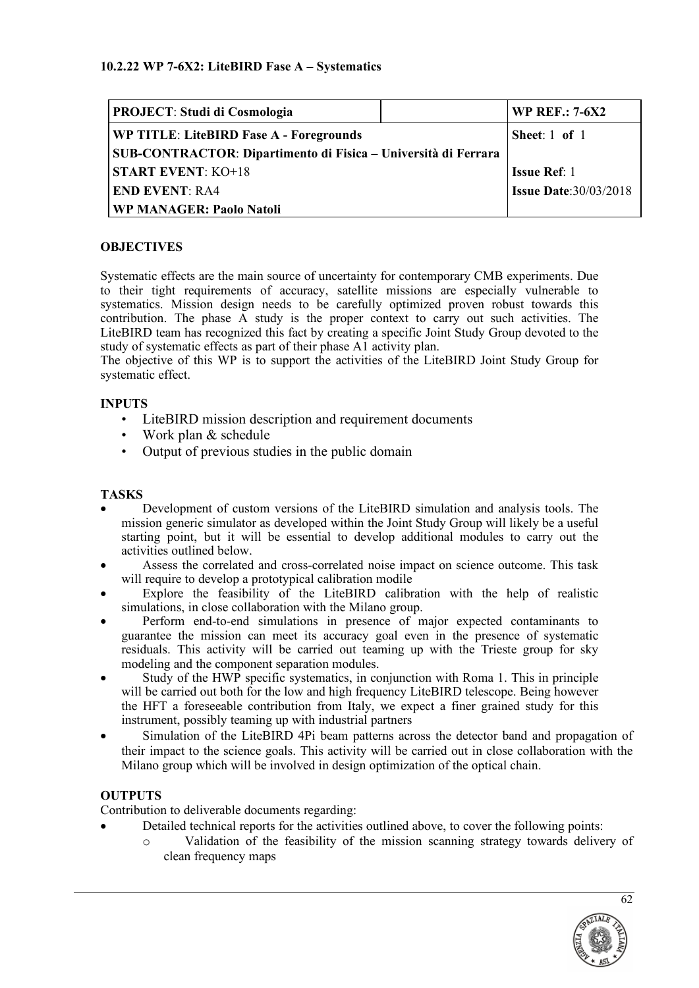| <b>PROJECT: Studi di Cosmologia</b>                            |  | <b>WP REF.: 7-6X2</b>        |
|----------------------------------------------------------------|--|------------------------------|
| WP TITLE: LiteBIRD Fase A - Foregrounds                        |  | Sheet: $1$ of $1$            |
| SUB-CONTRACTOR: Dipartimento di Fisica – Università di Ferrara |  |                              |
| <b>START EVENT: KO+18</b>                                      |  | <b>Issue Ref: 1</b>          |
| <b>END EVENT: RA4</b>                                          |  | <b>Issue Date:30/03/2018</b> |
| <b>WP MANAGER: Paolo Natoli</b>                                |  |                              |

# **OBJECTIVES**

Systematic effects are the main source of uncertainty for contemporary CMB experiments. Due to their tight requirements of accuracy, satellite missions are especially vulnerable to systematics. Mission design needs to be carefully optimized proven robust towards this contribution. The phase A study is the proper context to carry out such activities. The LiteBIRD team has recognized this fact by creating a specific Joint Study Group devoted to the study of systematic effects as part of their phase A1 activity plan.

The objective of this WP is to support the activities of the LiteBIRD Joint Study Group for systematic effect.

# **INPUTS**

- LiteBIRD mission description and requirement documents
- Work plan & schedule
- Output of previous studies in the public domain

### **TASKS**

- Development of custom versions of the LiteBIRD simulation and analysis tools. The mission generic simulator as developed within the Joint Study Group will likely be a useful starting point, but it will be essential to develop additional modules to carry out the activities outlined below.
- Assess the correlated and cross-correlated noise impact on science outcome. This task will require to develop a prototypical calibration modile
- Explore the feasibility of the LiteBIRD calibration with the help of realistic simulations, in close collaboration with the Milano group.
- Perform end-to-end simulations in presence of major expected contaminants to guarantee the mission can meet its accuracy goal even in the presence of systematic residuals. This activity will be carried out teaming up with the Trieste group for sky modeling and the component separation modules.
- Study of the HWP specific systematics, in conjunction with Roma 1. This in principle will be carried out both for the low and high frequency LiteBIRD telescope. Being however the HFT a foreseeable contribution from Italy, we expect a finer grained study for this instrument, possibly teaming up with industrial partners
- Simulation of the LiteBIRD 4Pi beam patterns across the detector band and propagation of their impact to the science goals. This activity will be carried out in close collaboration with the Milano group which will be involved in design optimization of the optical chain.

# **OUTPUTS**

Contribution to deliverable documents regarding:

- Detailed technical reports for the activities outlined above, to cover the following points:
	- o Validation of the feasibility of the mission scanning strategy towards delivery of clean frequency maps